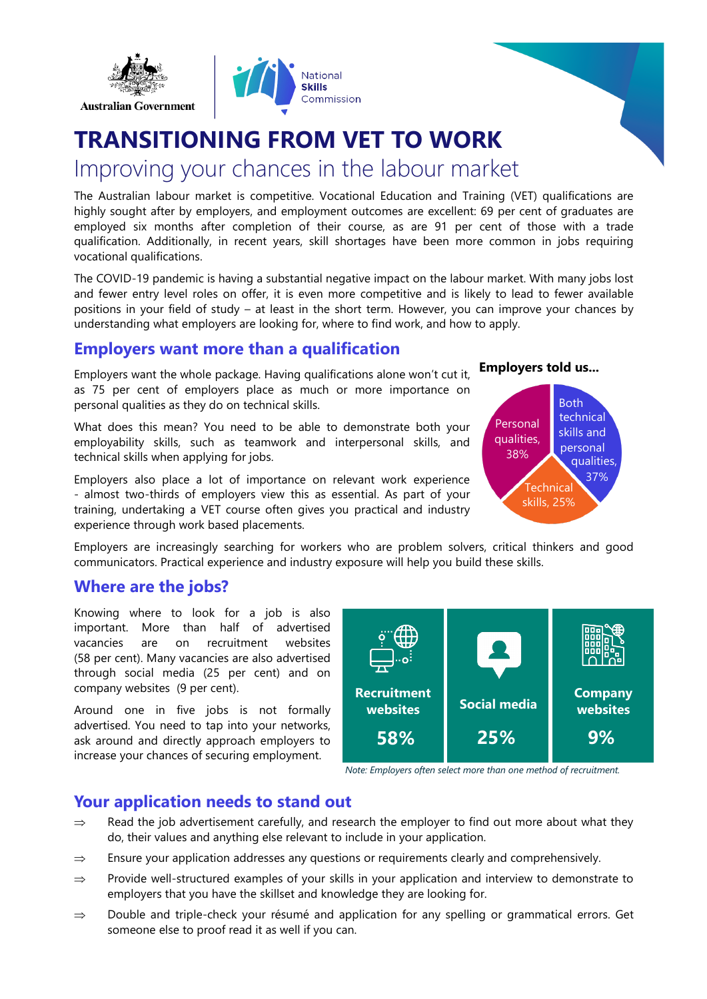

# **TRANSITIONING FROM VET TO WORK**

## Improving your chances in the labour market

The Australian labour market is competitive. Vocational Education and Training (VET) qualifications are highly sought after by employers, and employment outcomes are excellent: 69 per cent of graduates are employed six months after completion of their course, as are 91 per cent of those with a trade qualification. Additionally, in recent years, skill shortages have been more common in jobs requiring vocational qualifications.

The COVID-19 pandemic is having a substantial negative impact on the labour market. With many jobs lost and fewer entry level roles on offer, it is even more competitive and is likely to lead to fewer available positions in your field of study – at least in the short term. However, you can improve your chances by understanding what employers are looking for, where to find work, and how to apply.

#### **Employers want more than a qualification**

Employers want the whole package. Having qualifications alone won't cut it, as 75 per cent of employers place as much or more importance on personal qualities as they do on technical skills.

What does this mean? You need to be able to demonstrate both your employability skills, such as teamwork and interpersonal skills, and technical skills when applying for jobs.

Employers also place a lot of importance on relevant work experience - almost two-thirds of employers view this as essential. As part of your training, undertaking a VET course often gives you practical and industry experience through work based placements.





Employers are increasingly searching for workers who are problem solvers, critical thinkers and good communicators. Practical experience and industry exposure will help you build these skills.

#### **Where are the jobs?**

**Australian Government** 

Knowing where to look for a job is also important. More than half of advertised vacancies are on recruitment websites (58 per cent). Many vacancies are also advertised through social media (25 per cent) and on company websites (9 per cent).

Around one in five jobs is not formally advertised. You need to tap into your networks, ask around and directly approach employers to increase your chances of securing employment.



*Note: Employers often select more than one method of recruitment.*

#### **Your application needs to stand out**

- $\Rightarrow$  Read the job advertisement carefully, and research the employer to find out more about what they do, their values and anything else relevant to include in your application.
- $\Rightarrow$  Ensure your application addresses any questions or requirements clearly and comprehensively.
- $\Rightarrow$  Provide well-structured examples of your skills in your application and interview to demonstrate to employers that you have the skillset and knowledge they are looking for.
- $\Rightarrow$  Double and triple-check your résumé and application for any spelling or grammatical errors. Get someone else to proof read it as well if you can.